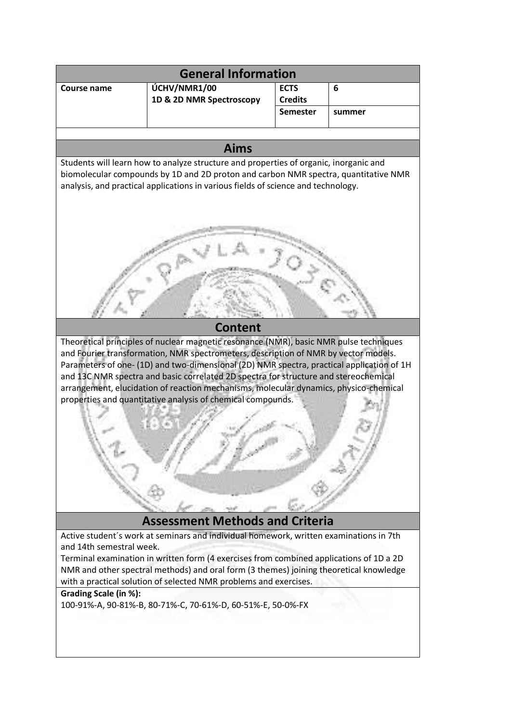| <b>General Information</b>                                                                                                                                                                                                                                                                                                                                                                                                                                                                                                 |                          |                                   |        |
|----------------------------------------------------------------------------------------------------------------------------------------------------------------------------------------------------------------------------------------------------------------------------------------------------------------------------------------------------------------------------------------------------------------------------------------------------------------------------------------------------------------------------|--------------------------|-----------------------------------|--------|
| <b>Course name</b>                                                                                                                                                                                                                                                                                                                                                                                                                                                                                                         | ÚCHV/NMR1/00             | <b>ECTS</b>                       | 6      |
|                                                                                                                                                                                                                                                                                                                                                                                                                                                                                                                            | 1D & 2D NMR Spectroscopy | <b>Credits</b><br><b>Semester</b> | summer |
|                                                                                                                                                                                                                                                                                                                                                                                                                                                                                                                            |                          |                                   |        |
|                                                                                                                                                                                                                                                                                                                                                                                                                                                                                                                            |                          |                                   |        |
| <b>Aims</b><br>Students will learn how to analyze structure and properties of organic, inorganic and                                                                                                                                                                                                                                                                                                                                                                                                                       |                          |                                   |        |
| biomolecular compounds by 1D and 2D proton and carbon NMR spectra, quantitative NMR<br>analysis, and practical applications in various fields of science and technology.                                                                                                                                                                                                                                                                                                                                                   |                          |                                   |        |
|                                                                                                                                                                                                                                                                                                                                                                                                                                                                                                                            |                          |                                   |        |
| <b>Content</b>                                                                                                                                                                                                                                                                                                                                                                                                                                                                                                             |                          |                                   |        |
| Theoretical principles of nuclear magnetic resonance (NMR), basic NMR pulse techniques<br>and Fourier transformation, NMR spectrometers, description of NMR by vector models.<br>Parameters of one- (1D) and two-dimensional (2D) NMR spectra, practical application of 1H<br>and 13C NMR spectra and basic correlated 2D spectra for structure and stereochemical<br>arrangement, elucidation of reaction mechanisms, molecular dynamics, physico-chemical<br>properties and quantitative analysis of chemical compounds. |                          |                                   |        |
| <b>Assessment Methods and Criteria</b>                                                                                                                                                                                                                                                                                                                                                                                                                                                                                     |                          |                                   |        |
| Active student's work at seminars and individual homework, written examinations in 7th<br>and 14th semestral week.<br>Terminal examination in written form (4 exercises from combined applications of 1D a 2D<br>NMR and other spectral methods) and oral form (3 themes) joining theoretical knowledge<br>with a practical solution of selected NMR problems and exercises.                                                                                                                                               |                          |                                   |        |
| Grading Scale (in %):<br>100-91%-A, 90-81%-B, 80-71%-C, 70-61%-D, 60-51%-E, 50-0%-FX                                                                                                                                                                                                                                                                                                                                                                                                                                       |                          |                                   |        |